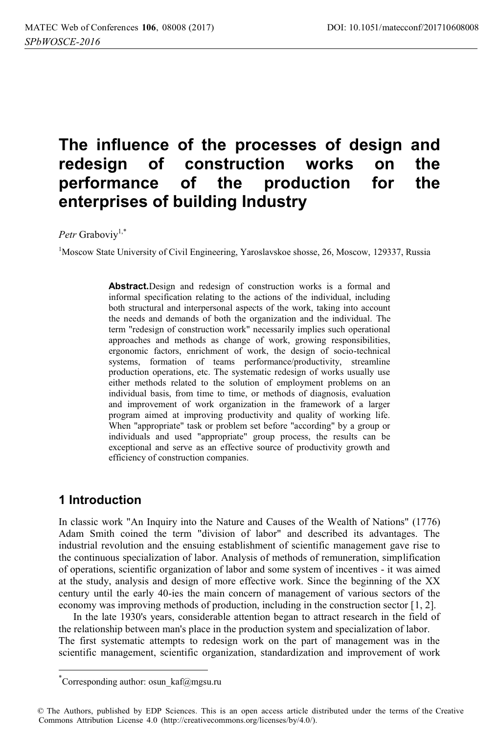# **The influence of the processes of design and redesign of construction works on the performance of the production for the enterprises of building Industry**

Petr Graboviy<sup>1,\*</sup>

<sup>1</sup>Moscow State University of Civil Engineering, Yaroslavskoe shosse, 26, Moscow, 129337, Russia

**Abstract.**Design and redesign of construction works is a formal and informal specification relating to the actions of the individual, including both structural and interpersonal aspects of the work, taking into account the needs and demands of both the organization and the individual. The term "redesign of construction work" necessarily implies such operational approaches and methods as change of work, growing responsibilities, ergonomic factors, enrichment of work, the design of socio-technical systems, formation of teams performance/productivity, streamline production operations, etc. The systematic redesign of works usually use either methods related to the solution of employment problems on an individual basis, from time to time, or methods of diagnosis, evaluation and improvement of work organization in the framework of a larger program aimed at improving productivity and quality of working life. When "appropriate" task or problem set before "according" by a group or individuals and used "appropriate" group process, the results can be exceptional and serve as an effective source of productivity growth and efficiency of construction companies.

## **1 Introduction**

 $\overline{a}$ 

In classic work "An Inquiry into the Nature and Causes of the Wealth of Nations" (1776) Adam Smith coined the term "division of labor" and described its advantages. The industrial revolution and the ensuing establishment of scientific management gave rise to the continuous specialization of labor. Analysis of methods of remuneration, simplification of operations, scientific organization of labor and some system of incentives - it was aimed at the study, analysis and design of more effective work. Since the beginning of the XX century until the early 40-ies the main concern of management of various sectors of the economy was improving methods of production, including in the construction sector [1, 2].

In the late 1930's years, considerable attention began to attract research in the field of the relationship between man's place in the production system and specialization of labor. The first systematic attempts to redesign work on the part of management was in the scientific management, scientific organization, standardization and improvement of work

<sup>\*</sup> Corresponding author: osun\_kaf@mgsu.ru

<sup>©</sup> The Authors, published by EDP Sciences. This is an open access article distributed under the terms of the Creative Commons Attribution License 4.0 (http://creativecommons.org/licenses/by/4.0/).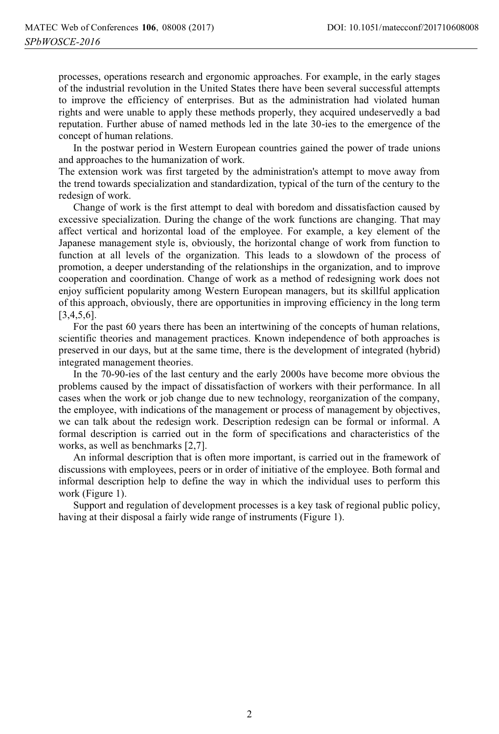processes, operations research and ergonomic approaches. For example, in the early stages of the industrial revolution in the United States there have been several successful attempts to improve the efficiency of enterprises. But as the administration had violated human rights and were unable to apply these methods properly, they acquired undeservedly a bad reputation. Further abuse of named methods led in the late 30-ies to the emergence of the concept of human relations.

In the postwar period in Western European countries gained the power of trade unions and approaches to the humanization of work.

The extension work was first targeted by the administration's attempt to move away from the trend towards specialization and standardization, typical of the turn of the century to the redesign of work.

Change of work is the first attempt to deal with boredom and dissatisfaction caused by excessive specialization. During the change of the work functions are changing. That may affect vertical and horizontal load of the employee. For example, a key element of the Japanese management style is, obviously, the horizontal change of work from function to function at all levels of the organization. This leads to a slowdown of the process of promotion, a deeper understanding of the relationships in the organization, and to improve cooperation and coordination. Change of work as a method of redesigning work does not enjoy sufficient popularity among Western European managers, but its skillful application of this approach, obviously, there are opportunities in improving efficiency in the long term [3,4,5,6].

For the past 60 years there has been an intertwining of the concepts of human relations, scientific theories and management practices. Known independence of both approaches is preserved in our days, but at the same time, there is the development of integrated (hybrid) integrated management theories.

In the 70-90-ies of the last century and the early 2000s have become more obvious the problems caused by the impact of dissatisfaction of workers with their performance. In all cases when the work or job change due to new technology, reorganization of the company, the employee, with indications of the management or process of management by objectives, we can talk about the redesign work. Description redesign can be formal or informal. A formal description is carried out in the form of specifications and characteristics of the works, as well as benchmarks [2,7].

An informal description that is often more important, is carried out in the framework of discussions with employees, peers or in order of initiative of the employee. Both formal and informal description help to define the way in which the individual uses to perform this work (Figure 1).

Support and regulation of development processes is a key task of regional public policy, having at their disposal a fairly wide range of instruments (Figure 1).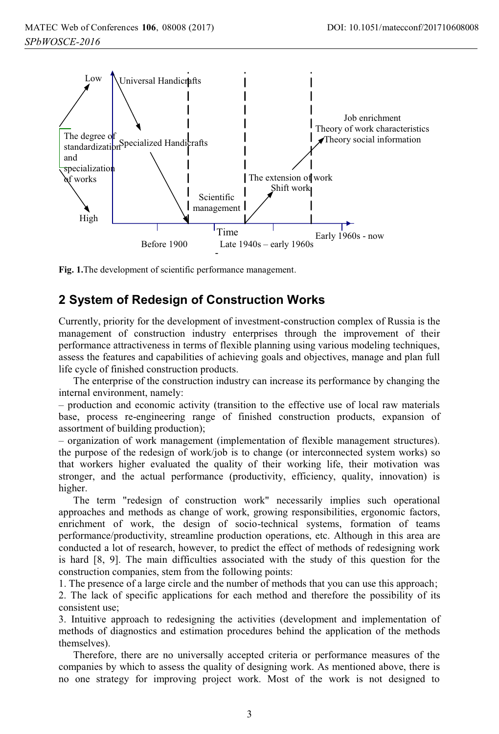

**Fig. 1.**The development of scientific performance management.

# **2 System of Redesign of Construction Works**

Currently, priority for the development of investment-construction complex of Russia is the management of construction industry enterprises through the improvement of their performance attractiveness in terms of flexible planning using various modeling techniques, assess the features and capabilities of achieving goals and objectives, manage and plan full life cycle of finished construction products.

The enterprise of the construction industry can increase its performance by changing the internal environment, namely:

– production and economic activity (transition to the effective use of local raw materials base, process re-engineering range of finished construction products, expansion of assortment of building production);

– organization of work management (implementation of flexible management structures). the purpose of the redesign of work/job is to change (or interconnected system works) so that workers higher evaluated the quality of their working life, their motivation was stronger, and the actual performance (productivity, efficiency, quality, innovation) is higher.

The term "redesign of construction work" necessarily implies such operational approaches and methods as change of work, growing responsibilities, ergonomic factors, enrichment of work, the design of socio-technical systems, formation of teams performance/productivity, streamline production operations, etc. Although in this area are conducted a lot of research, however, to predict the effect of methods of redesigning work is hard [8, 9]. The main difficulties associated with the study of this question for the construction companies, stem from the following points:

1. The presence of a large circle and the number of methods that you can use this approach;

2. The lack of specific applications for each method and therefore the possibility of its consistent use;

3. Intuitive approach to redesigning the activities (development and implementation of methods of diagnostics and estimation procedures behind the application of the methods themselves).

Therefore, there are no universally accepted criteria or performance measures of the companies by which to assess the quality of designing work. As mentioned above, there is no one strategy for improving project work. Most of the work is not designed to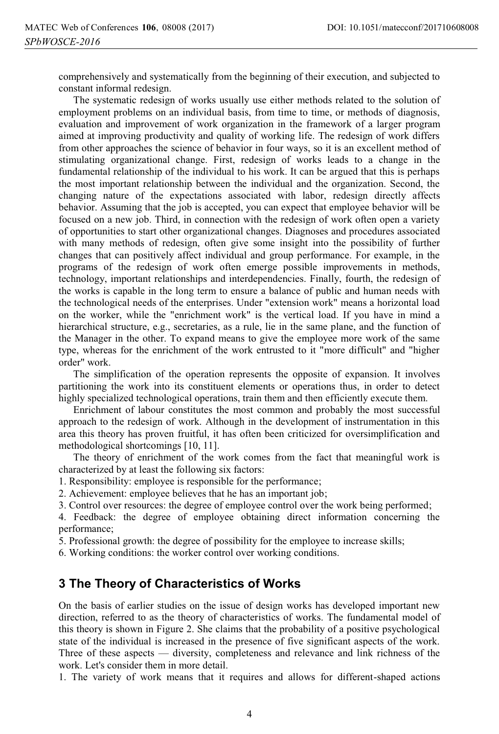comprehensively and systematically from the beginning of their execution, and subjected to constant informal redesign.

The systematic redesign of works usually use either methods related to the solution of employment problems on an individual basis, from time to time, or methods of diagnosis, evaluation and improvement of work organization in the framework of a larger program aimed at improving productivity and quality of working life. The redesign of work differs from other approaches the science of behavior in four ways, so it is an excellent method of stimulating organizational change. First, redesign of works leads to a change in the fundamental relationship of the individual to his work. It can be argued that this is perhaps the most important relationship between the individual and the organization. Second, the changing nature of the expectations associated with labor, redesign directly affects behavior. Assuming that the job is accepted, you can expect that employee behavior will be focused on a new job. Third, in connection with the redesign of work often open a variety of opportunities to start other organizational changes. Diagnoses and procedures associated with many methods of redesign, often give some insight into the possibility of further changes that can positively affect individual and group performance. For example, in the programs of the redesign of work often emerge possible improvements in methods, technology, important relationships and interdependencies. Finally, fourth, the redesign of the works is capable in the long term to ensure a balance of public and human needs with the technological needs of the enterprises. Under "extension work" means a horizontal load on the worker, while the "enrichment work" is the vertical load. If you have in mind a hierarchical structure, e.g., secretaries, as a rule, lie in the same plane, and the function of the Manager in the other. To expand means to give the employee more work of the same type, whereas for the enrichment of the work entrusted to it "more difficult" and "higher order" work.

The simplification of the operation represents the opposite of expansion. It involves partitioning the work into its constituent elements or operations thus, in order to detect highly specialized technological operations, train them and then efficiently execute them.

Enrichment of labour constitutes the most common and probably the most successful approach to the redesign of work. Although in the development of instrumentation in this area this theory has proven fruitful, it has often been criticized for oversimplification and methodological shortcomings [10, 11].

The theory of enrichment of the work comes from the fact that meaningful work is characterized by at least the following six factors:

1. Responsibility: employee is responsible for the performance;

2. Achievement: employee believes that he has an important job;

3. Control over resources: the degree of employee control over the work being performed;

4. Feedback: the degree of employee obtaining direct information concerning the performance;

5. Professional growth: the degree of possibility for the employee to increase skills;

6. Working conditions: the worker control over working conditions.

#### **3 The Theory of Characteristics of Works**

On the basis of earlier studies on the issue of design works has developed important new direction, referred to as the theory of characteristics of works. The fundamental model of this theory is shown in Figure 2. She claims that the probability of a positive psychological state of the individual is increased in the presence of five significant aspects of the work. Three of these aspects — diversity, completeness and relevance and link richness of the work. Let's consider them in more detail.

1. The variety of work means that it requires and allows for different-shaped actions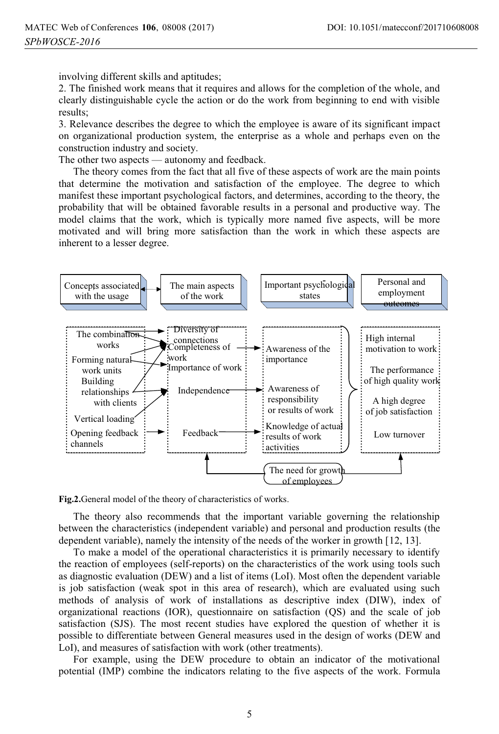involving different skills and aptitudes;

2. The finished work means that it requires and allows for the completion of the whole, and clearly distinguishable cycle the action or do the work from beginning to end with visible results;

3. Relevance describes the degree to which the employee is aware of its significant impact on organizational production system, the enterprise as a whole and perhaps even on the construction industry and society.

The other two aspects — autonomy and feedback.

The theory comes from the fact that all five of these aspects of work are the main points that determine the motivation and satisfaction of the employee. The degree to which manifest these important psychological factors, and determines, according to the theory, the probability that will be obtained favorable results in a personal and productive way. The model claims that the work, which is typically more named five aspects, will be more motivated and will bring more satisfaction than the work in which these aspects are inherent to a lesser degree.



**Fig.2.**General model of the theory of characteristics of works.

The theory also recommends that the important variable governing the relationship between the characteristics (independent variable) and personal and production results (the dependent variable), namely the intensity of the needs of the worker in growth [12, 13].

To make a model of the operational characteristics it is primarily necessary to identify the reaction of employees (self-reports) on the characteristics of the work using tools such as diagnostic evaluation (DEW) and a list of items (LoI). Most often the dependent variable is job satisfaction (weak spot in this area of research), which are evaluated using such methods of analysis of work of installations as descriptive index (DIW), index of organizational reactions (IOR), questionnaire on satisfaction (QS) and the scale of job satisfaction (SJS). The most recent studies have explored the question of whether it is possible to differentiate between General measures used in the design of works (DEW and LoI), and measures of satisfaction with work (other treatments).

For example, using the DEW procedure to obtain an indicator of the motivational potential (IMP) combine the indicators relating to the five aspects of the work. Formula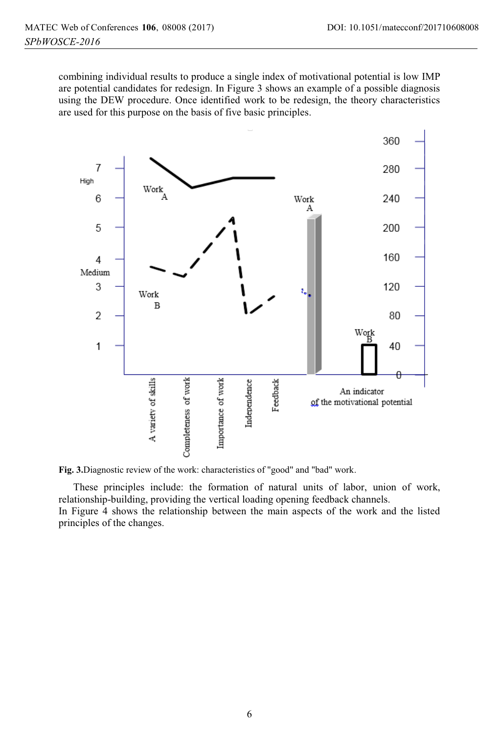combining individual results to produce a single index of motivational potential is low IMP are potential candidates for redesign. In Figure 3 shows an example of a possible diagnosis using the DEW procedure. Once identified work to be redesign, the theory characteristics are used for this purpose on the basis of five basic principles.



**Fig. 3.**Diagnostic review of the work: characteristics of "good" and "bad" work.

These principles include: the formation of natural units of labor, union of work, relationship-building, providing the vertical loading opening feedback channels.

In Figure 4 shows the relationship between the main aspects of the work and the listed principles of the changes.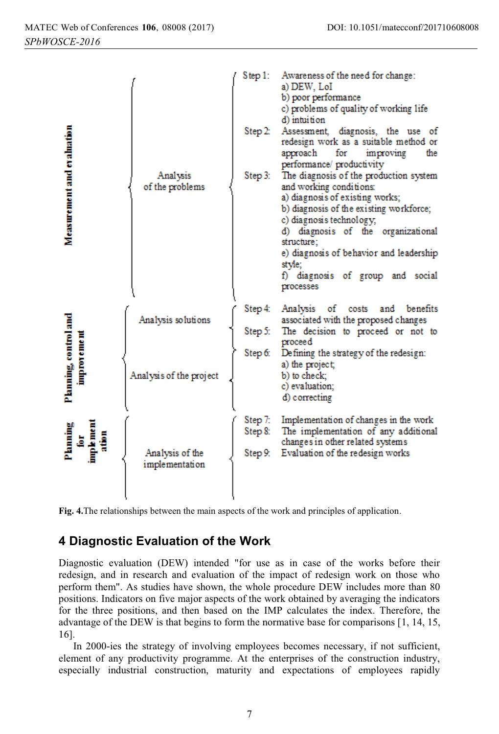| Measurement and eralmation              | Analysis<br>of the problems       | Step 1:<br>Step 2:<br>Step 3: | Awareness of the need for change:<br>a) DEW, LoI<br>b) poor performance<br>c) problems of quality of working life<br>d) intuition<br>Assessment, diagnosis, the use of<br>redesign work as a suitable method or<br>approach<br>for<br>the<br>improving<br>performance/ productivity<br>The diagnosis of the production system<br>and working conditions:<br>a) diagnosis of existing works;<br>b) diagnosis of the existing workforce;<br>c) diagnosis technology;<br>diagnosis of the organizational<br>d) —<br>structure: |
|-----------------------------------------|-----------------------------------|-------------------------------|-----------------------------------------------------------------------------------------------------------------------------------------------------------------------------------------------------------------------------------------------------------------------------------------------------------------------------------------------------------------------------------------------------------------------------------------------------------------------------------------------------------------------------|
|                                         |                                   |                               | e) diagnosis of behavior and leadership<br>style;<br>f) diagnosis of group and social<br>processes                                                                                                                                                                                                                                                                                                                                                                                                                          |
|                                         | Analysis solutions                | Step 4:<br>Step 5:            | Analysis of costs<br>benefits<br>and<br>associated with the proposed changes<br>The decision to proceed or not to<br>proceed                                                                                                                                                                                                                                                                                                                                                                                                |
| Planning, control and<br>ing ror encent | Analysis of the project           | Step 6:                       | Defining the strategy of the redesign:<br>a) the project;<br>b) to check;<br>c) evaluation;<br>d) correcting                                                                                                                                                                                                                                                                                                                                                                                                                |
| for<br>implement<br>ation<br>Planning   | Analysis of the<br>implementation | Step 7:<br>Step 8:<br>Step 9: | Implementation of changes in the work<br>The implementation of any additional<br>changes in other related systems<br>Evaluation of the redesign works                                                                                                                                                                                                                                                                                                                                                                       |

**Fig. 4.**The relationships between the main aspects of the work and principles of application.

# **4 Diagnostic Evaluation of the Work**

Diagnostic evaluation (DEW) intended "for use as in case of the works before their redesign, and in research and evaluation of the impact of redesign work on those who perform them". As studies have shown, the whole procedure DEW includes more than 80 positions. Indicators on five major aspects of the work obtained by averaging the indicators for the three positions, and then based on the IMP calculates the index. Therefore, the advantage of the DEW is that begins to form the normative base for comparisons [1, 14, 15, 16].

In 2000-ies the strategy of involving employees becomes necessary, if not sufficient, element of any productivity programme. At the enterprises of the construction industry, especially industrial construction, maturity and expectations of employees rapidly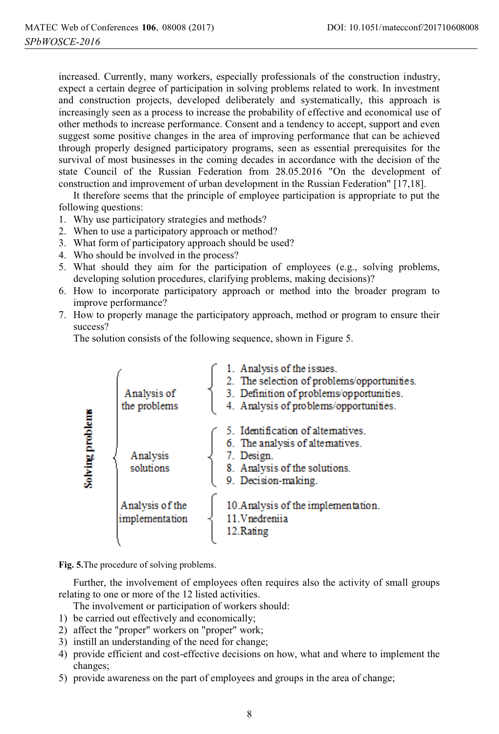increased. Currently, many workers, especially professionals of the construction industry, expect a certain degree of participation in solving problems related to work. In investment and construction projects, developed deliberately and systematically, this approach is increasingly seen as a process to increase the probability of effective and economical use of other methods to increase performance. Consent and a tendency to accept, support and even suggest some positive changes in the area of improving performance that can be achieved through properly designed participatory programs, seen as essential prerequisites for the survival of most businesses in the coming decades in accordance with the decision of the state Council of the Russian Federation from 28.05.2016 "On the development of construction and improvement of urban development in the Russian Federation" [17,18].

It therefore seems that the principle of employee participation is appropriate to put the following questions:

- 1. Why use participatory strategies and methods?
- 2. When to use a participatory approach or method?
- 3. What form of participatory approach should be used?
- 4. Who should be involved in the process?
- 5. What should they aim for the participation of employees (e.g., solving problems, developing solution procedures, clarifying problems, making decisions)?
- 6. How to incorporate participatory approach or method into the broader program to improve performance?
- 7. How to properly manage the participatory approach, method or program to ensure their success?

The solution consists of the following sequence, shown in Figure 5.



**Fig. 5.**The procedure of solving problems.

Further, the involvement of employees often requires also the activity of small groups relating to one or more of the 12 listed activities.

- The involvement or participation of workers should:
- 1) be carried out effectively and economically;
- 2) affect the "proper" workers on "proper" work;
- 3) instill an understanding of the need for change;
- 4) provide efficient and cost-effective decisions on how, what and where to implement the changes;
- 5) provide awareness on the part of employees and groups in the area of change;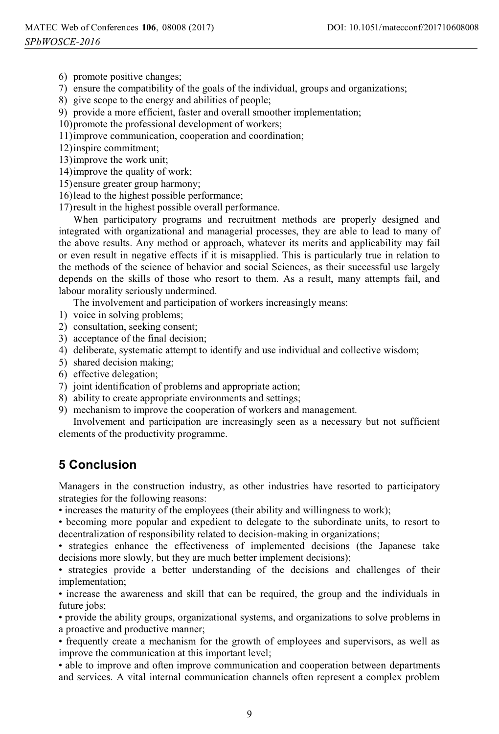- 6) promote positive changes;
- 7) ensure the compatibility of the goals of the individual, groups and organizations;
- 8) give scope to the energy and abilities of people;
- 9) provide a more efficient, faster and overall smoother implementation;
- 10)promote the professional development of workers;
- 11)improve communication, cooperation and coordination;
- 12)inspire commitment;
- 13)improve the work unit;
- 14)improve the quality of work;
- 15)ensure greater group harmony;
- 16)lead to the highest possible performance;
- 17)result in the highest possible overall performance.

When participatory programs and recruitment methods are properly designed and integrated with organizational and managerial processes, they are able to lead to many of the above results. Any method or approach, whatever its merits and applicability may fail or even result in negative effects if it is misapplied. This is particularly true in relation to the methods of the science of behavior and social Sciences, as their successful use largely depends on the skills of those who resort to them. As a result, many attempts fail, and labour morality seriously undermined.

The involvement and participation of workers increasingly means:

- 1) voice in solving problems;
- 2) consultation, seeking consent;
- 3) acceptance of the final decision;
- 4) deliberate, systematic attempt to identify and use individual and collective wisdom;
- 5) shared decision making;
- 6) effective delegation;
- 7) joint identification of problems and appropriate action;
- 8) ability to create appropriate environments and settings;
- 9) mechanism to improve the cooperation of workers and management.

Involvement and participation are increasingly seen as a necessary but not sufficient elements of the productivity programme.

## **5 Conclusion**

Managers in the construction industry, as other industries have resorted to participatory strategies for the following reasons:

• increases the maturity of the employees (their ability and willingness to work);

• becoming more popular and expedient to delegate to the subordinate units, to resort to decentralization of responsibility related to decision-making in organizations;

• strategies enhance the effectiveness of implemented decisions (the Japanese take decisions more slowly, but they are much better implement decisions);

• strategies provide a better understanding of the decisions and challenges of their implementation;

• increase the awareness and skill that can be required, the group and the individuals in future jobs;

• provide the ability groups, organizational systems, and organizations to solve problems in a proactive and productive manner;

• frequently create a mechanism for the growth of employees and supervisors, as well as improve the communication at this important level;

• able to improve and often improve communication and cooperation between departments and services. A vital internal communication channels often represent a complex problem